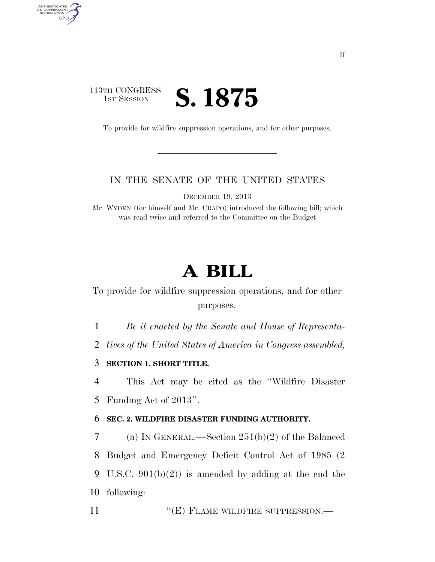## 113TH CONGRESS **IST SESSION S. 1875**

AUTHENTICATED<br>U.S. GOVERNMENT<br>INFORMATION GPO

To provide for wildfire suppression operations, and for other purposes.

## IN THE SENATE OF THE UNITED STATES

DECEMBER 19, 2013

Mr. WYDEN (for himself and Mr. CRAPO) introduced the following bill; which was read twice and referred to the Committee on the Budget

## **A BILL**

To provide for wildfire suppression operations, and for other purposes.

1 *Be it enacted by the Senate and House of Representa-*

2 *tives of the United States of America in Congress assembled,* 

3 **SECTION 1. SHORT TITLE.** 

4 This Act may be cited as the ''Wildfire Disaster 5 Funding Act of 2013''.

## 6 **SEC. 2. WILDFIRE DISASTER FUNDING AUTHORITY.**

 (a) IN GENERAL.—Section 251(b)(2) of the Balanced Budget and Emergency Deficit Control Act of 1985 (2 U.S.C. 901(b)(2)) is amended by adding at the end the following:

11 "
(E) FLAME WILDFIRE SUPPRESSION.—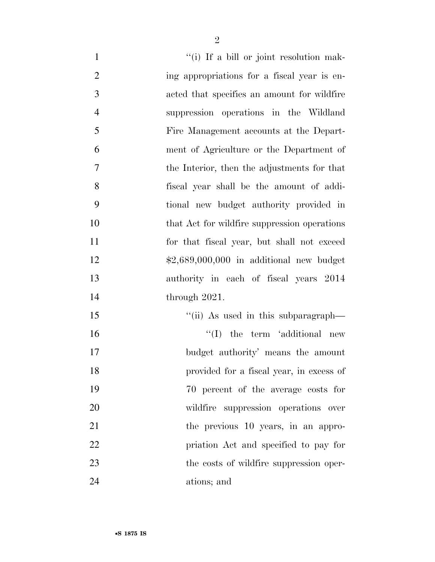| $\mathbf{1}$   | "(i) If a bill or joint resolution mak-      |
|----------------|----------------------------------------------|
| $\overline{2}$ | ing appropriations for a fiscal year is en-  |
| 3              | acted that specifies an amount for wildfire  |
| $\overline{4}$ | suppression operations in the Wildland       |
| 5              | Fire Management accounts at the Depart-      |
| 6              | ment of Agriculture or the Department of     |
| $\tau$         | the Interior, then the adjustments for that  |
| 8              | fiscal year shall be the amount of addi-     |
| 9              | tional new budget authority provided in      |
| 10             | that Act for wildfire suppression operations |
| 11             | for that fiscal year, but shall not exceed   |
| 12             | $$2,689,000,000$ in additional new budget    |
| 13             | authority in each of fiscal years 2014       |
| 14             | through $2021$ .                             |
| 15             | "(ii) As used in this subparagraph—          |
| 16             | $\lq\lq$ the term 'additional new            |
| 17             | budget authority' means the amount           |
| 18             | provided for a fiscal year, in excess of     |
| 19             | 70 percent of the average costs for          |
| 20             | wildfire suppression operations over         |
| 21             | the previous 10 years, in an appro-          |
| 22             | priation Act and specified to pay for        |
| 23             | the costs of wildfire suppression oper-      |
| 24             | ations; and                                  |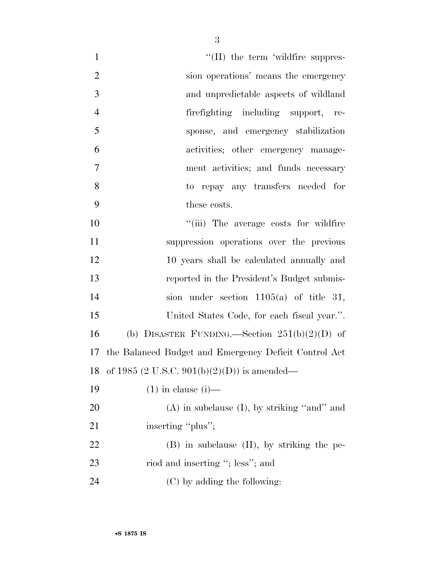| $\mathbf{1}$   | $\lq\lq$ (II) the term 'wildfire suppres-                |
|----------------|----------------------------------------------------------|
| $\overline{2}$ | sion operations' means the emergency                     |
| 3              | and unpredictable aspects of wildland                    |
| $\overline{4}$ | firefighting including support, re-                      |
| 5              | sponse, and emergency stabilization                      |
| 6              | activities; other emergency manage-                      |
| 7              | ment activities; and funds necessary                     |
| 8              | to repay any transfers needed for                        |
| 9              | these costs.                                             |
| 10             | "(iii) The average costs for wildfire                    |
| 11             | suppression operations over the previous                 |
| 12             | 10 years shall be calculated annually and                |
| 13             | reported in the President's Budget submis-               |
| 14             | sion under section $1105(a)$ of title 31,                |
| 15             | United States Code, for each fiscal year.".              |
| 16             | (b) DISASTER FUNDING.—Section $251(b)(2)(D)$ of          |
|                | 17 the Balanced Budget and Emergency Deficit Control Act |
|                | 18 of 1985 (2 U.S.C. 901(b)(2)(D)) is amended—           |
| 19             | $(1)$ in clause $(i)$ —                                  |
| 20             | $(A)$ in subclause $(I)$ , by striking "and" and         |
| 21             | inserting "plus";                                        |
| 22             | $(B)$ in subclause $(II)$ , by striking the pe-          |
| 23             | riod and inserting "; less"; and                         |
| 24             | (C) by adding the following:                             |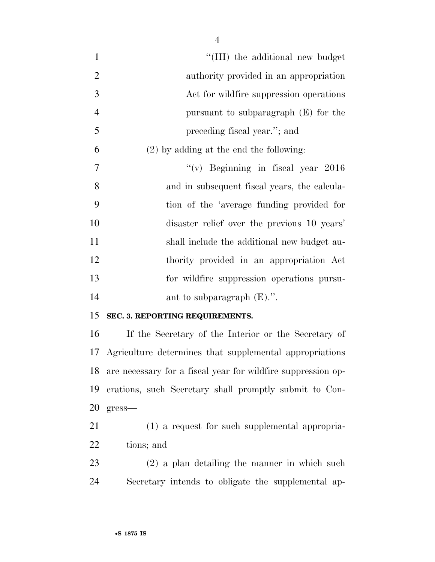| $\mathbf{1}$   | "(III) the additional new budget                             |
|----------------|--------------------------------------------------------------|
| $\mathbf{2}$   | authority provided in an appropriation                       |
| 3              | Act for wildfire suppression operations                      |
| $\overline{4}$ | pursuant to subparagraph $(E)$ for the                       |
| 5              | preceding fiscal year."; and                                 |
| 6              | $(2)$ by adding at the end the following:                    |
| $\tau$         | "(v) Beginning in fiscal year $2016$                         |
| 8              | and in subsequent fiscal years, the calcula-                 |
| 9              | tion of the 'average funding provided for                    |
| 10             | disaster relief over the previous 10 years'                  |
| 11             | shall include the additional new budget au-                  |
| 12             | thority provided in an appropriation Act                     |
| 13             | for wildfire suppression operations pursu-                   |
| 14             | ant to subparagraph $(E)$ .".                                |
| 15             | SEC. 3. REPORTING REQUIREMENTS.                              |
| 16             | If the Secretary of the Interior or the Secretary of         |
| 17             | Agriculture determines that supplemental appropriations      |
| 18             | are necessary for a fiscal year for wildfire suppression op- |
| 19             | erations, such Secretary shall promptly submit to Con-       |
| 20             | gress—                                                       |
| 21             | (1) a request for such supplemental appropria-               |
| 22             | tions; and                                                   |
| 23             | $(2)$ a plan detailing the manner in which such              |
| 24             | Secretary intends to obligate the supplemental ap-           |
|                |                                                              |